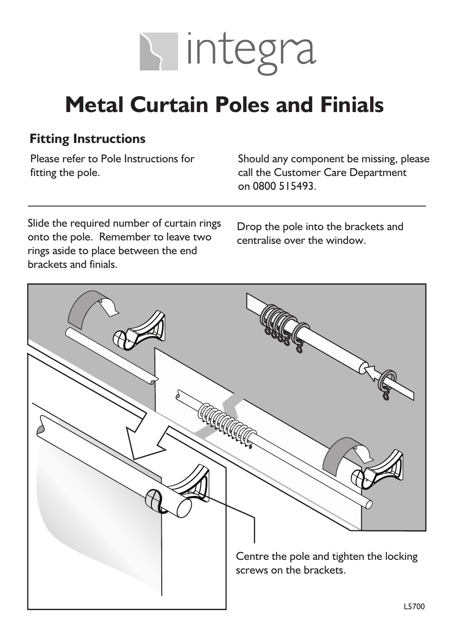

## **Metal Curtain Poles and Finials**

#### **Fitting Instructions**

Please refer to Pole Instructions for fitting the pole.

Should any component be missing, please call the Customer Care Department on 0800 515493.

Slide the required number of curtain rings onto the pole. Remember to leave two rings aside to place between the end brackets and finials.

Drop the pole into the brackets and centralise over the window.